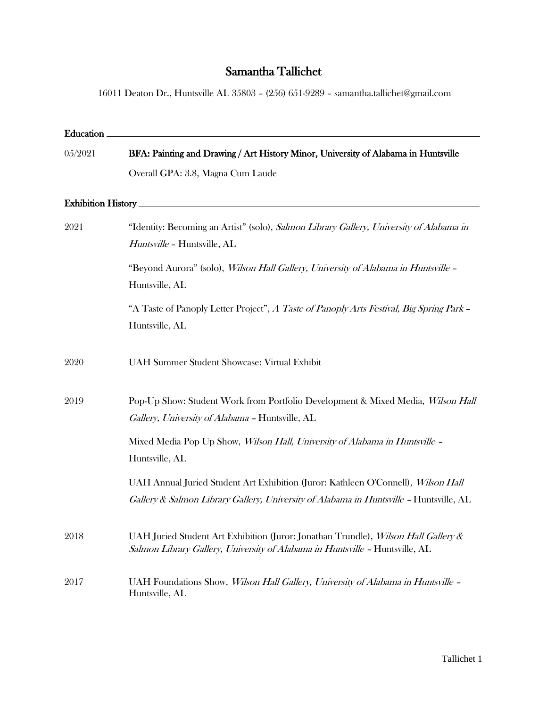## Samantha Tallichet

16011 Deaton Dr., Huntsville AL 35803 – (256) 651-9289 – samantha.tallichet@gmail.com

| Education                 |                                                                                                                                                                             |
|---------------------------|-----------------------------------------------------------------------------------------------------------------------------------------------------------------------------|
| 05/2021                   | BFA: Painting and Drawing / Art History Minor, University of Alabama in Huntsville                                                                                          |
|                           | Overall GPA: 3.8, Magna Cum Laude                                                                                                                                           |
| <b>Exhibition History</b> |                                                                                                                                                                             |
| 2021                      | "Identity: Becoming an Artist" (solo), Salmon Library Gallery, University of Alabama in<br>Huntsville - Huntsville, AL                                                      |
|                           | "Beyond Aurora" (solo), <i>Wilson Hall Gallery, University of Alabama in Huntsville -</i><br>Huntsville, AL                                                                 |
|                           | "A Taste of Panoply Letter Project", A Taste of Panoply Arts Festival, Big Spring Park -<br>Huntsville, AL                                                                  |
| 2020                      | <b>UAH Summer Student Showcase: Virtual Exhibit</b>                                                                                                                         |
| 2019                      | Pop-Up Show: Student Work from Portfolio Development & Mixed Media, Wilson Hall<br>Gallery, University of Alabama - Huntsville, AL                                          |
|                           | Mixed Media Pop Up Show, Wilson Hall, University of Alabama in Huntsville -<br>Huntsville, AL                                                                               |
|                           | UAH Annual Juried Student Art Exhibition (Juror: Kathleen O'Connell), Wilson Hall<br>Gallery & Salmon Library Gallery, University of Alabama in Huntsville - Huntsville, AL |
| 2018                      | UAH Juried Student Art Exhibition (Juror: Jonathan Trundle), Wilson Hall Gallery &<br>Salmon Library Gallery, University of Alabama in Huntsville - Huntsville, AL          |
| 2017                      | UAH Foundations Show, Wilson Hall Gallery, University of Alabama in Huntsville -<br>Huntsville, AL                                                                          |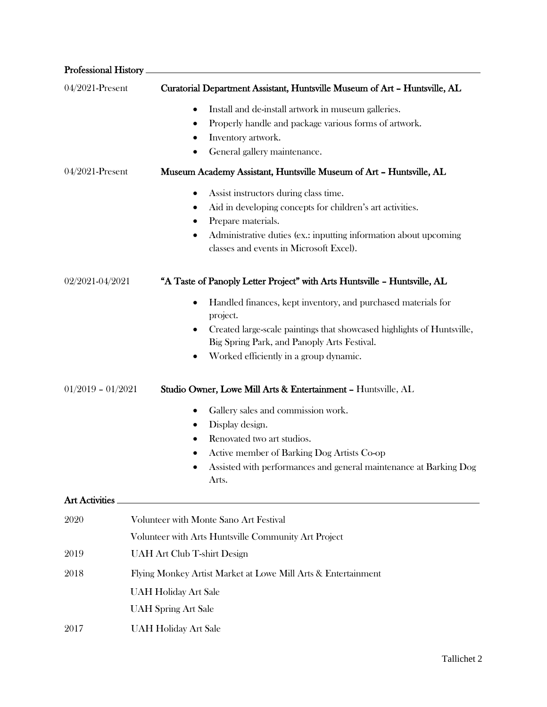| <b>Professional History</b> |                                                                                                                                                                                                                                                        |
|-----------------------------|--------------------------------------------------------------------------------------------------------------------------------------------------------------------------------------------------------------------------------------------------------|
| 04/2021-Present             | Curatorial Department Assistant, Huntsville Museum of Art - Huntsville, AL                                                                                                                                                                             |
|                             | Install and de-install artwork in museum galleries.<br>٠<br>Properly handle and package various forms of artwork.<br>٠<br>Inventory artwork.<br>General gallery maintenance.                                                                           |
| 04/2021-Present             | Museum Academy Assistant, Huntsville Museum of Art - Huntsville, AL                                                                                                                                                                                    |
|                             | Assist instructors during class time.<br>٠<br>Aid in developing concepts for children's art activities.<br>٠<br>Prepare materials.<br>Administrative duties (ex.: inputting information about upcoming<br>٠<br>classes and events in Microsoft Excel). |
| 02/2021-04/2021             | "A Taste of Panoply Letter Project" with Arts Huntsville - Huntsville, AL                                                                                                                                                                              |
|                             | Handled finances, kept inventory, and purchased materials for<br>٠<br>project.<br>Created large-scale paintings that showcased highlights of Huntsville,<br>٠<br>Big Spring Park, and Panoply Arts Festival.<br>Worked efficiently in a group dynamic. |
| $01/2019 - 01/2021$         | Studio Owner, Lowe Mill Arts & Entertainment - Huntsville, AL                                                                                                                                                                                          |
|                             | Gallery sales and commission work.<br>٠<br>Display design.<br>Renovated two art studios.<br>٠<br>Active member of Barking Dog Artists Co-op<br>Assisted with performances and general maintenance at Barking Dog<br>Arts.                              |
| Art Activities              |                                                                                                                                                                                                                                                        |
| 2020                        | Volunteer with Monte Sano Art Festival<br>Volunteer with Arts Huntsville Community Art Project                                                                                                                                                         |
| 2019                        | <b>UAH Art Club T-shirt Design</b>                                                                                                                                                                                                                     |
| 2018                        | Flying Monkey Artist Market at Lowe Mill Arts & Entertainment<br><b>UAH Holiday Art Sale</b><br><b>UAH Spring Art Sale</b>                                                                                                                             |
| 2017                        | <b>UAH Holiday Art Sale</b>                                                                                                                                                                                                                            |